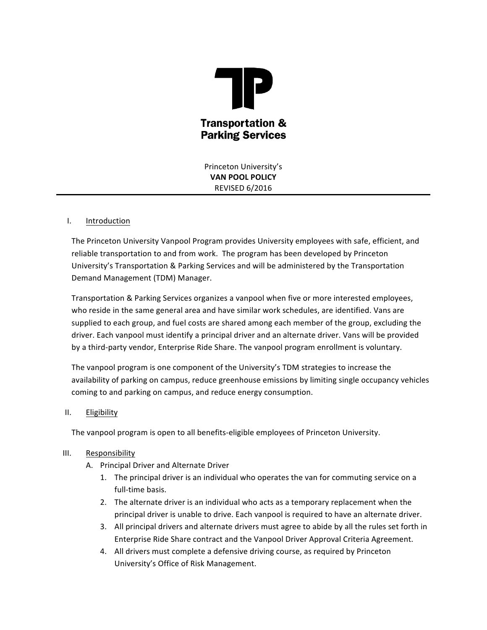

Princeton University's **VAN POOL POLICY** REVISED 6/2016

### I. Introduction

The Princeton University Vanpool Program provides University employees with safe, efficient, and reliable transportation to and from work. The program has been developed by Princeton University's Transportation & Parking Services and will be administered by the Transportation Demand Management (TDM) Manager.

Transportation & Parking Services organizes a vanpool when five or more interested employees, who reside in the same general area and have similar work schedules, are identified. Vans are supplied to each group, and fuel costs are shared among each member of the group, excluding the driver. Each vanpool must identify a principal driver and an alternate driver. Vans will be provided by a third-party vendor, Enterprise Ride Share. The vanpool program enrollment is voluntary.

The vanpool program is one component of the University's TDM strategies to increase the availability of parking on campus, reduce greenhouse emissions by limiting single occupancy vehicles coming to and parking on campus, and reduce energy consumption.

### II. Eligibility

The vanpool program is open to all benefits-eligible employees of Princeton University.

### III. Responsibility

- A. Principal Driver and Alternate Driver
	- 1. The principal driver is an individual who operates the van for commuting service on a full-time basis.
	- 2. The alternate driver is an individual who acts as a temporary replacement when the principal driver is unable to drive. Each vanpool is required to have an alternate driver.
	- 3. All principal drivers and alternate drivers must agree to abide by all the rules set forth in Enterprise Ride Share contract and the Vanpool Driver Approval Criteria Agreement.
	- 4. All drivers must complete a defensive driving course, as required by Princeton University's Office of Risk Management.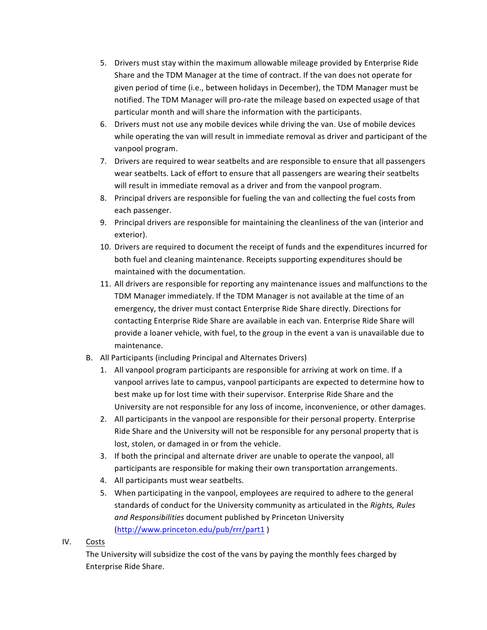- 5. Drivers must stay within the maximum allowable mileage provided by Enterprise Ride Share and the TDM Manager at the time of contract. If the van does not operate for given period of time (i.e., between holidays in December), the TDM Manager must be notified. The TDM Manager will pro-rate the mileage based on expected usage of that particular month and will share the information with the participants.
- 6. Drivers must not use any mobile devices while driving the van. Use of mobile devices while operating the van will result in immediate removal as driver and participant of the vanpool program.
- 7. Drivers are required to wear seatbelts and are responsible to ensure that all passengers wear seatbelts. Lack of effort to ensure that all passengers are wearing their seatbelts will result in immediate removal as a driver and from the vanpool program.
- 8. Principal drivers are responsible for fueling the van and collecting the fuel costs from each passenger.
- 9. Principal drivers are responsible for maintaining the cleanliness of the van (interior and exterior).
- 10. Drivers are required to document the receipt of funds and the expenditures incurred for both fuel and cleaning maintenance. Receipts supporting expenditures should be maintained with the documentation.
- 11. All drivers are responsible for reporting any maintenance issues and malfunctions to the TDM Manager immediately. If the TDM Manager is not available at the time of an emergency, the driver must contact Enterprise Ride Share directly. Directions for contacting Enterprise Ride Share are available in each van. Enterprise Ride Share will provide a loaner vehicle, with fuel, to the group in the event a van is unavailable due to maintenance.
- B. All Participants (including Principal and Alternates Drivers)
	- 1. All vanpool program participants are responsible for arriving at work on time. If a vanpool arrives late to campus, vanpool participants are expected to determine how to best make up for lost time with their supervisor. Enterprise Ride Share and the University are not responsible for any loss of income, inconvenience, or other damages.
	- 2. All participants in the vanpool are responsible for their personal property. Enterprise Ride Share and the University will not be responsible for any personal property that is lost, stolen, or damaged in or from the vehicle.
	- 3. If both the principal and alternate driver are unable to operate the vanpool, all participants are responsible for making their own transportation arrangements.
	- 4. All participants must wear seatbelts.
	- 5. When participating in the vanpool, employees are required to adhere to the general standards of conduct for the University community as articulated in the *Rights, Rules* and Responsibilities document published by Princeton University (http://www.princeton.edu/pub/rrr/part1 )
- IV. Costs

The University will subsidize the cost of the vans by paying the monthly fees charged by Enterprise Ride Share.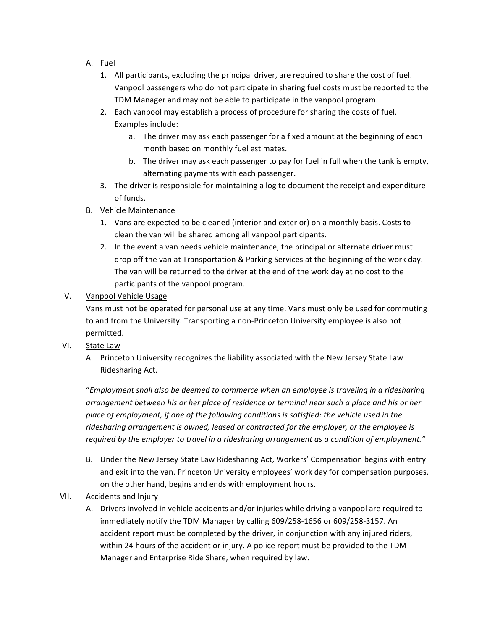- A. Fuel
	- 1. All participants, excluding the principal driver, are required to share the cost of fuel. Vanpool passengers who do not participate in sharing fuel costs must be reported to the TDM Manager and may not be able to participate in the vanpool program.
	- 2. Each vanpool may establish a process of procedure for sharing the costs of fuel. Examples include:
		- a. The driver may ask each passenger for a fixed amount at the beginning of each month based on monthly fuel estimates.
		- b. The driver may ask each passenger to pay for fuel in full when the tank is empty, alternating payments with each passenger.
	- 3. The driver is responsible for maintaining a log to document the receipt and expenditure of funds.
- B. Vehicle Maintenance
	- 1. Vans are expected to be cleaned (interior and exterior) on a monthly basis. Costs to clean the van will be shared among all vanpool participants.
	- 2. In the event a van needs vehicle maintenance, the principal or alternate driver must drop off the van at Transportation & Parking Services at the beginning of the work day. The van will be returned to the driver at the end of the work day at no cost to the participants of the vanpool program.

## V. Vanpool Vehicle Usage

Vans must not be operated for personal use at any time. Vans must only be used for commuting to and from the University. Transporting a non-Princeton University employee is also not permitted.

# VI. State Law

A. Princeton University recognizes the liability associated with the New Jersey State Law Ridesharing Act.

"Employment shall also be deemed to commerce when an employee is traveling in a ridesharing arrangement between his or her place of residence or terminal near such a place and his or her place of employment, if one of the following conditions is satisfied: the vehicle used in the ridesharing arrangement is owned, leased or contracted for the employer, or the employee is required by the employer to travel in a ridesharing arrangement as a condition of employment."

B. Under the New Jersey State Law Ridesharing Act, Workers' Compensation begins with entry and exit into the van. Princeton University employees' work day for compensation purposes, on the other hand, begins and ends with employment hours.

# VII. Accidents and Injury

A. Drivers involved in vehicle accidents and/or injuries while driving a vanpool are required to immediately notify the TDM Manager by calling 609/258-1656 or 609/258-3157. An accident report must be completed by the driver, in conjunction with any injured riders, within 24 hours of the accident or injury. A police report must be provided to the TDM Manager and Enterprise Ride Share, when required by law.